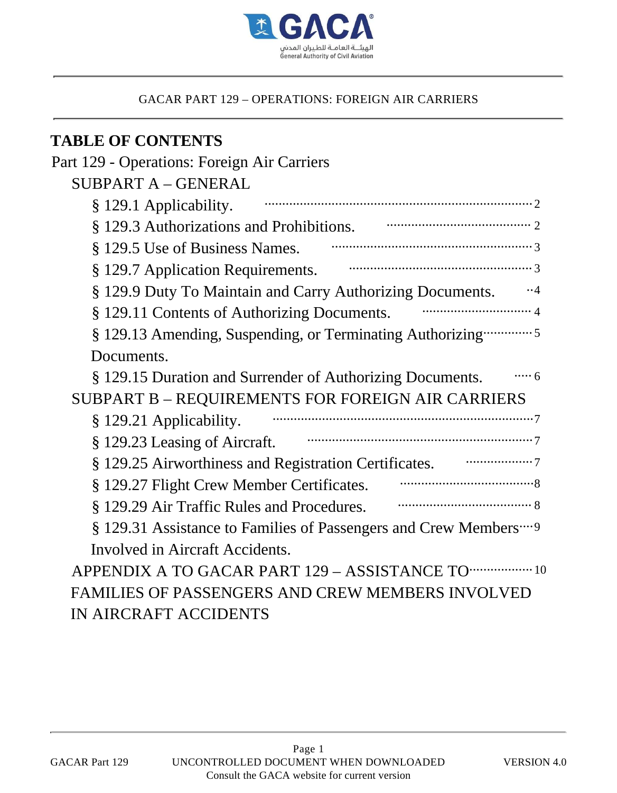

# **TABLE OF CONTENTS**

| Part 129 - Operations: Foreign Air Carriers                                  |
|------------------------------------------------------------------------------|
| <b>SUBPART A - GENERAL</b>                                                   |
| § 129.1 Applicability.                                                       |
| § 129.3 Authorizations and Prohibitions. The Communication of the Second St. |
| § 129.5 Use of Business Names.                                               |
| § 129.7 Application Requirements.                                            |
| § 129.9 Duty To Maintain and Carry Authorizing Documents.<br>$\cdot \cdot 4$ |
| § 129.11 Contents of Authorizing Documents.                                  |
| § 129.13 Amending, Suspending, or Terminating Authorizing  5                 |
| Documents.                                                                   |
| $\cdots$ 6<br>§ 129.15 Duration and Surrender of Authorizing Documents.      |
| SUBPART B - REQUIREMENTS FOR FOREIGN AIR CARRIERS                            |
| § 129.21 Applicability.                                                      |
| § 129.23 Leasing of Aircraft.                                                |
| § 129.25 Airworthiness and Registration Certificates.                        |
| § 129.27 Flight Crew Member Certificates.                                    |
| § 129.29 Air Traffic Rules and Procedures.                                   |
| § 129.31 Assistance to Families of Passengers and Crew Members  9            |
| Involved in Aircraft Accidents.                                              |
| APPENDIX A TO GACAR PART 129 - ASSISTANCE TO THE 10                          |
| <b>FAMILIES OF PASSENGERS AND CREW MEMBERS INVOLVED</b>                      |
| IN AIRCRAFT ACCIDENTS                                                        |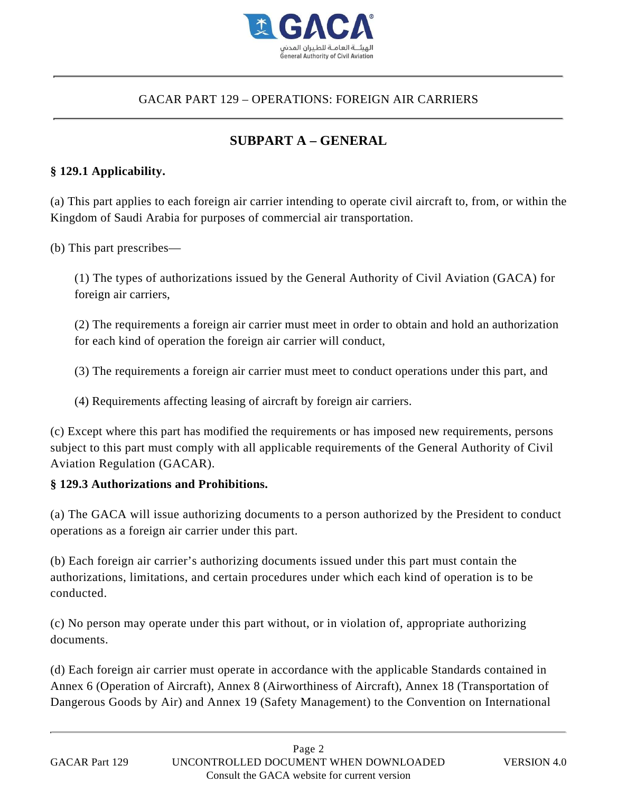

## **SUBPART A – GENERAL**

## **§ 129.1 Applicability.**

(a) This part applies to each foreign air carrier intending to operate civil aircraft to, from, or within the Kingdom of Saudi Arabia for purposes of commercial air transportation.

(b) This part prescribes—

(1) The types of authorizations issued by the General Authority of Civil Aviation (GACA) for foreign air carriers,

(2) The requirements a foreign air carrier must meet in order to obtain and hold an authorization for each kind of operation the foreign air carrier will conduct,

(3) The requirements a foreign air carrier must meet to conduct operations under this part, and

(4) Requirements affecting leasing of aircraft by foreign air carriers.

(c) Except where this part has modified the requirements or has imposed new requirements, persons subject to this part must comply with all applicable requirements of the General Authority of Civil Aviation Regulation (GACAR).

#### **§ 129.3 Authorizations and Prohibitions.**

(a) The GACA will issue authorizing documents to a person authorized by the President to conduct operations as a foreign air carrier under this part.

(b) Each foreign air carrier's authorizing documents issued under this part must contain the authorizations, limitations, and certain procedures under which each kind of operation is to be conducted.

(c) No person may operate under this part without, or in violation of, appropriate authorizing documents.

(d) Each foreign air carrier must operate in accordance with the applicable Standards contained in Annex 6 (Operation of Aircraft), Annex 8 (Airworthiness of Aircraft), Annex 18 (Transportation of GACAR PART 129 – OPERATIONS: FOREIGN AIR CARRIERS<br>
SUBPART  $\Lambda$  – GENERAL<br>
SUBPART A – GENERAL<br>
(a) This part applies to each foreign air carrier intending to operate civil aircraft to, from, or within<br>
Kingdom of Saudi A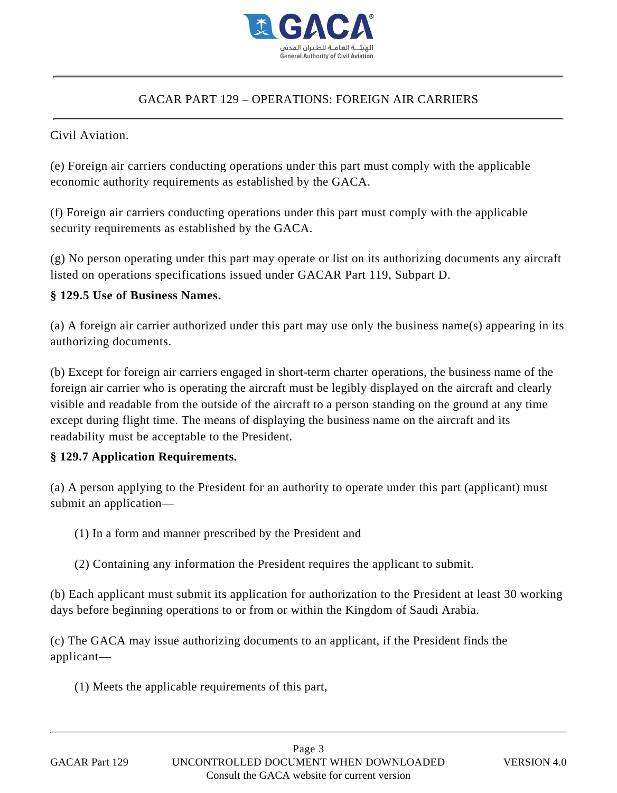

### Civil Aviation.

(e) Foreign air carriers conducting operations under this part must comply with the applicable economic authority requirements as established by the GACA.

(f) Foreign air carriers conducting operations under this part must comply with the applicable security requirements as established by the GACA.

(g) No person operating under this part may operate or list on its authorizing documents any aircraft listed on operations specifications issued under GACAR Part 119, Subpart D.

## **§ 129.5 Use of Business Names.**

(a) A foreign air carrier authorized under this part may use only the business name(s) appearing in its authorizing documents.

(b) Except for foreign air carriers engaged in short-term charter operations, the business name of the foreign air carrier who is operating the aircraft must be legibly displayed on the aircraft and clearly visible and readable from the outside of the aircraft to a person standing on the ground at any time except during flight time. The means of displaying the business name on the aircraft and its readability must be acceptable to the President.

## **§ 129.7 Application Requirements.**

(a) A person applying to the President for an authority to operate under this part (applicant) must submit an application—

- (1) In a form and manner prescribed by the President and
- (2) Containing any information the President requires the applicant to submit.

(b) Each applicant must submit its application for authorization to the President at least 30 working days before beginning operations to or from or within the Kingdom of Saudi Arabia.

(c) The GACA may issue authorizing documents to an applicant, if the President finds the applicant—

(1) Meets the applicable requirements of this part,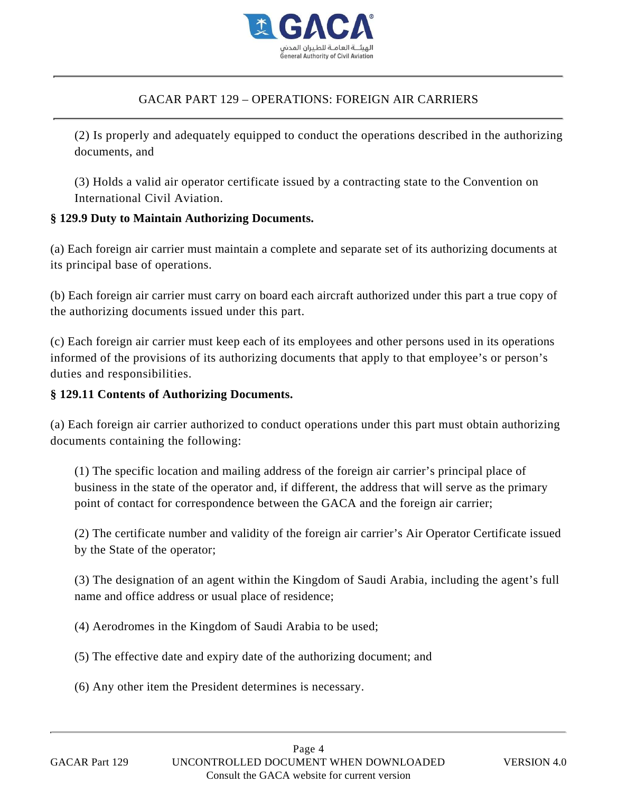

(2) Is properly and adequately equipped to conduct the operations described in the authorizing documents, and

(3) Holds a valid air operator certificate issued by a contracting state to the Convention on International Civil Aviation.

## **§ 129.9 Duty to Maintain Authorizing Documents.**

(a) Each foreign air carrier must maintain a complete and separate set of its authorizing documents at its principal base of operations.

(b) Each foreign air carrier must carry on board each aircraft authorized under this part a true copy of the authorizing documents issued under this part.

(c) Each foreign air carrier must keep each of its employees and other persons used in its operations informed of the provisions of its authorizing documents that apply to that employee's or person's duties and responsibilities.

### **§ 129.11 Contents of Authorizing Documents.**

(a) Each foreign air carrier authorized to conduct operations under this part must obtain authorizing documents containing the following:

(1) The specific location and mailing address of the foreign air carrier's principal place of business in the state of the operator and, if different, the address that will serve as the primary point of contact for correspondence between the GACA and the foreign air carrier;

(2) The certificate number and validity of the foreign air carrier's Air Operator Certificate issued by the State of the operator;

(3) The designation of an agent within the Kingdom of Saudi Arabia, including the agent's full name and office address or usual place of residence;

(4) Aerodromes in the Kingdom of Saudi Arabia to be used;

(5) The effective date and expiry date of the authorizing document; and

(6) Any other item the President determines is necessary.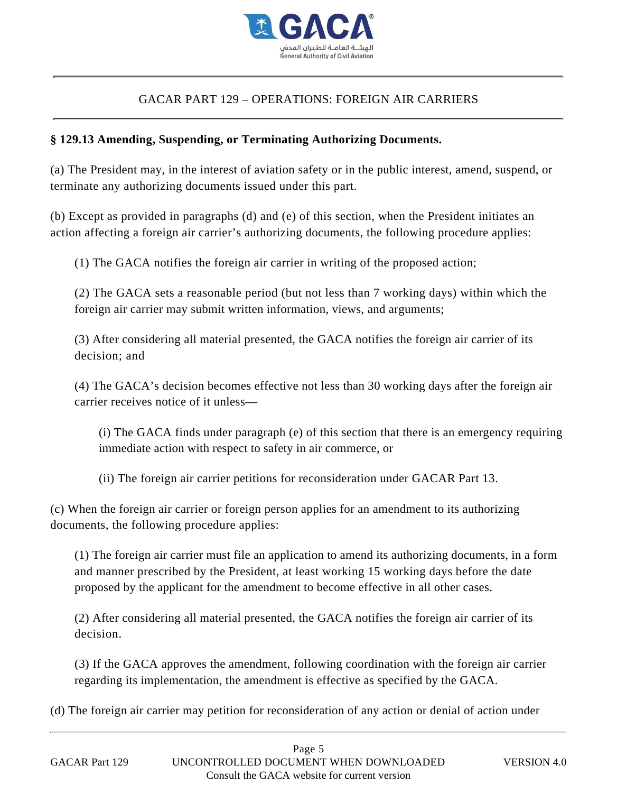

### **§ 129.13 Amending, Suspending, or Terminating Authorizing Documents.**

(a) The President may, in the interest of aviation safety or in the public interest, amend, suspend, or terminate any authorizing documents issued under this part.

(b) Except as provided in paragraphs (d) and (e) of this section, when the President initiates an action affecting a foreign air carrier's authorizing documents, the following procedure applies:

(1) The GACA notifies the foreign air carrier in writing of the proposed action;

(2) The GACA sets a reasonable period (but not less than 7 working days) within which the foreign air carrier may submit written information, views, and arguments;

(3) After considering all material presented, the GACA notifies the foreign air carrier of its decision; and

(4) The GACA's decision becomes effective not less than 30 working days after the foreign air carrier receives notice of it unless—

(i) The GACA finds under paragraph (e) of this section that there is an emergency requiring immediate action with respect to safety in air commerce, or

(ii) The foreign air carrier petitions for reconsideration under GACAR Part 13.

(c) When the foreign air carrier or foreign person applies for an amendment to its authorizing documents, the following procedure applies:

(1) The foreign air carrier must file an application to amend its authorizing documents, in a form and manner prescribed by the President, at least working 15 working days before the date proposed by the applicant for the amendment to become effective in all other cases.

(2) After considering all material presented, the GACA notifies the foreign air carrier of its decision.

(3) If the GACA approves the amendment, following coordination with the foreign air carrier regarding its implementation, the amendment is effective as specified by the GACA.

(d) The foreign air carrier may petition for reconsideration of any action or denial of action under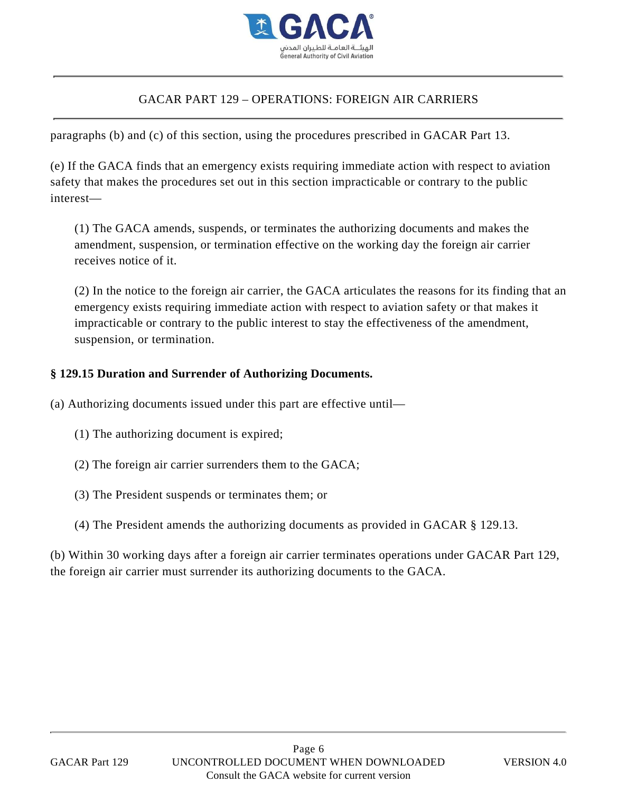

paragraphs (b) and (c) of this section, using the procedures prescribed in GACAR Part 13.

(e) If the GACA finds that an emergency exists requiring immediate action with respect to aviation safety that makes the procedures set out in this section impracticable or contrary to the public interest—

(1) The GACA amends, suspends, or terminates the authorizing documents and makes the amendment, suspension, or termination effective on the working day the foreign air carrier receives notice of it.

(2) In the notice to the foreign air carrier, the GACA articulates the reasons for its finding that an emergency exists requiring immediate action with respect to aviation safety or that makes it impracticable or contrary to the public interest to stay the effectiveness of the amendment, suspension, or termination.

#### **§ 129.15 Duration and Surrender of Authorizing Documents.**

(a) Authorizing documents issued under this part are effective until—

- (1) The authorizing document is expired;
- (2) The foreign air carrier surrenders them to the GACA;
- (3) The President suspends or terminates them; or
- (4) The President amends the authorizing documents as provided in GACAR § 129.13.

(b) Within 30 working days after a foreign air carrier terminates operations under GACAR Part 129, the foreign air carrier must surrender its authorizing documents to the GACA.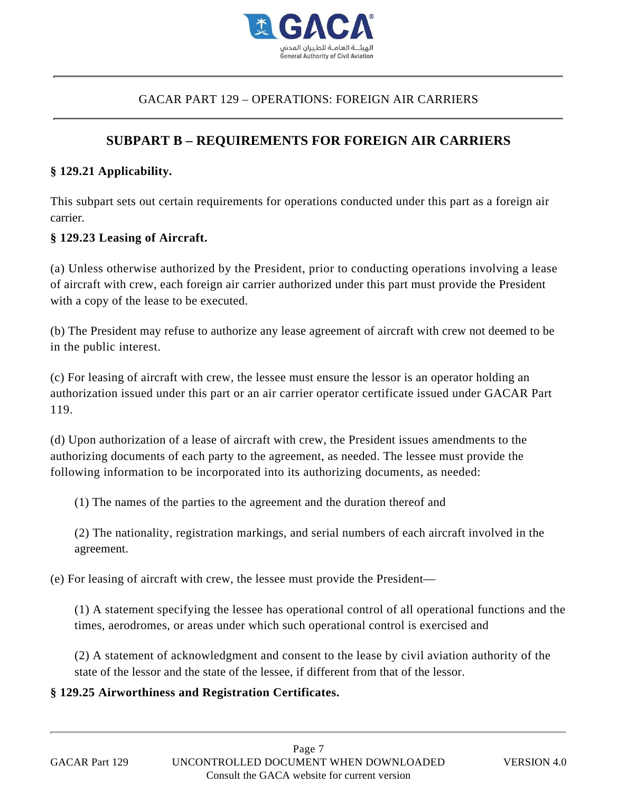

## **SUBPART B – REQUIREMENTS FOR FOREIGN AIR CARRIERS**

#### **§ 129.21 Applicability.**

This subpart sets out certain requirements for operations conducted under this part as a foreign air carrier.

#### **§ 129.23 Leasing of Aircraft.**

(a) Unless otherwise authorized by the President, prior to conducting operations involving a lease of aircraft with crew, each foreign air carrier authorized under this part must provide the President with a copy of the lease to be executed. **§ 129.25 Airworthiness and Registration Certificates.** GACAR PART 129 – OPERATIONS: FOREIGN AIR CARRIERS

(b) The President may refuse to authorize any lease agreement of aircraft with crew not deemed to be in the public interest.

(c) For leasing of aircraft with crew, the lessee must ensure the lessor is an operator holding an authorization issued under this part or an air carrier operator certificate issued under GACAR Part 119.

(d) Upon authorization of a lease of aircraft with crew, the President issues amendments to the authorizing documents of each party to the agreement, as needed. The lessee must provide the following information to be incorporated into its authorizing documents, as needed:

(1) The names of the parties to the agreement and the duration thereof and

(2) The nationality, registration markings, and serial numbers of each aircraft involved in the agreement.

(e) For leasing of aircraft with crew, the lessee must provide the President—

(1) A statement specifying the lessee has operational control of all operational functions and the times, aerodromes, or areas under which such operational control is exercised and

(2) A statement of acknowledgment and consent to the lease by civil aviation authority of the state of the lessor and the state of the lessee, if different from that of the lessor.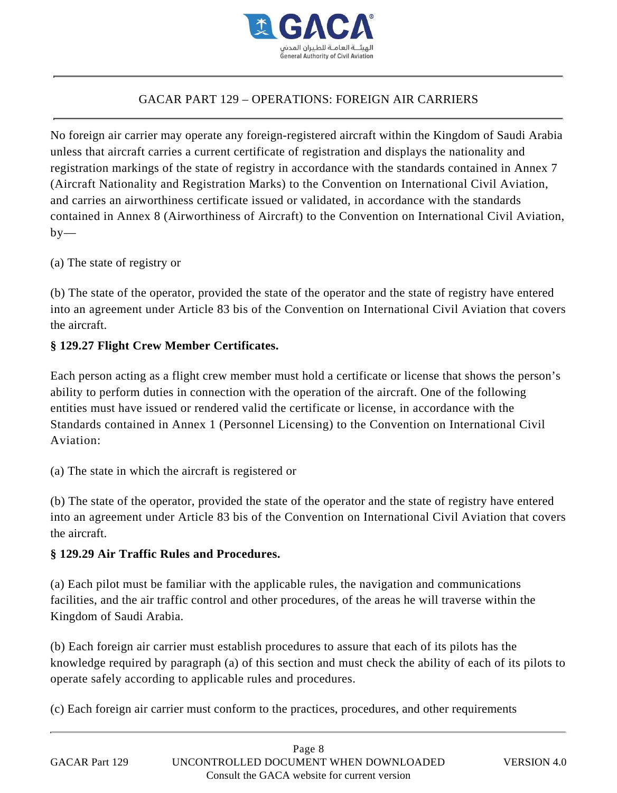

No foreign air carrier may operate any foreign-registered aircraft within the Kingdom of Saudi Arabia unless that aircraft carries a current certificate of registration and displays the nationality and registration markings of the state of registry in accordance with the standards contained in Annex 7 (Aircraft Nationality and Registration Marks) to the Convention on International Civil Aviation, and carries an airworthiness certificate issued or validated, in accordance with the standards contained in Annex 8 (Airworthiness of Aircraft) to the Convention on International Civil Aviation,  $by-$ 

(a) The state of registry or

(b) The state of the operator, provided the state of the operator and the state of registry have entered into an agreement under Article 83 bis of the Convention on International Civil Aviation that covers the aircraft.

#### **§ 129.27 Flight Crew Member Certificates.**

Each person acting as a flight crew member must hold a certificate or license that shows the person's ability to perform duties in connection with the operation of the aircraft. One of the following entities must have issued or rendered valid the certificate or license, in accordance with the Standards contained in Annex 1 (Personnel Licensing) to the Convention on International Civil Aviation:

(a) The state in which the aircraft is registered or

(b) The state of the operator, provided the state of the operator and the state of registry have entered into an agreement under Article 83 bis of the Convention on International Civil Aviation that covers the aircraft.

#### **§ 129.29 Air Traffic Rules and Procedures.**

(a) Each pilot must be familiar with the applicable rules, the navigation and communications facilities, and the air traffic control and other procedures, of the areas he will traverse within the Kingdom of Saudi Arabia.

(b) Each foreign air carrier must establish procedures to assure that each of its pilots has the knowledge required by paragraph (a) of this section and must check the ability of each of its pilots to operate safely according to applicable rules and procedures.

(c) Each foreign air carrier must conform to the practices, procedures, and other requirements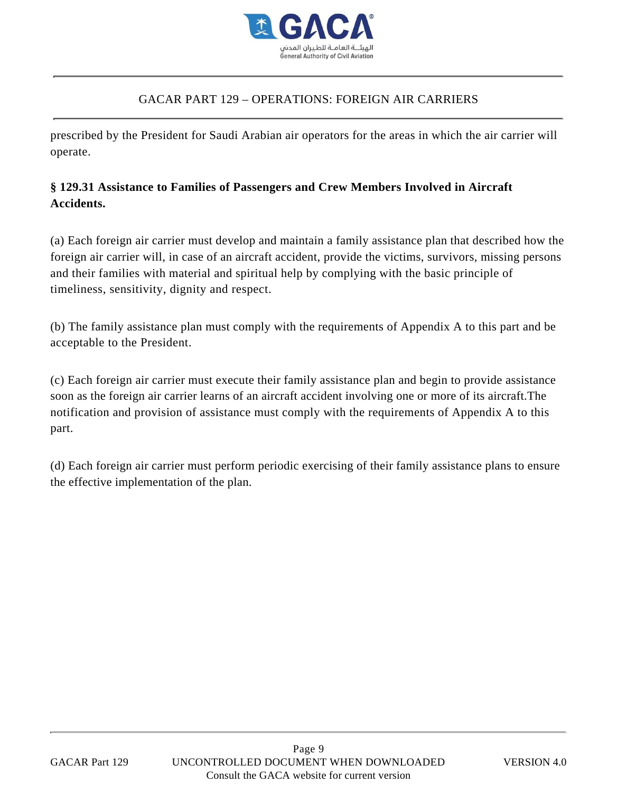

prescribed by the President for Saudi Arabian air operators for the areas in which the air carrier will operate.

## **§ 129.31 Assistance to Families of Passengers and Crew Members Involved in Aircraft Accidents.**

(a) Each foreign air carrier must develop and maintain a family assistance plan that described how the foreign air carrier will, in case of an aircraft accident, provide the victims, survivors, missing persons and their families with material and spiritual help by complying with the basic principle of timeliness, sensitivity, dignity and respect.

(b) The family assistance plan must comply with the requirements of Appendix A to this part and be acceptable to the President.

(c) Each foreign air carrier must execute their family assistance plan and begin to provide assistance soon as the foreign air carrier learns of an aircraft accident involving one or more of its aircraft.The notification and provision of assistance must comply with the requirements of Appendix A to this part.

(d) Each foreign air carrier must perform periodic exercising of their family assistance plans to ensure the effective implementation of the plan.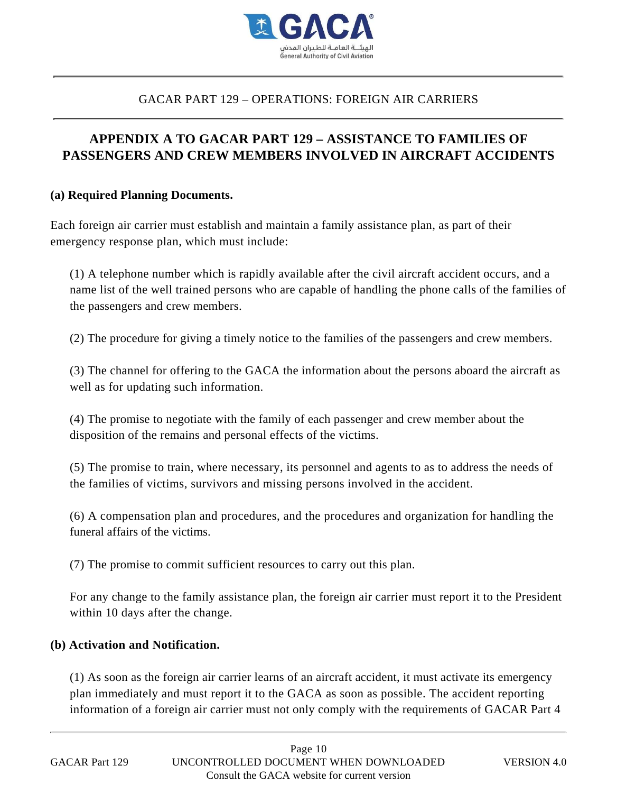

## **APPENDIX A TO GACAR PART 129 – ASSISTANCE TO FAMILIES OF PASSENGERS AND CREW MEMBERS INVOLVED IN AIRCRAFT ACCIDENTS**

#### **(a) Required Planning Documents.**

Each foreign air carrier must establish and maintain a family assistance plan, as part of their emergency response plan, which must include:

(1) A telephone number which is rapidly available after the civil aircraft accident occurs, and a name list of the well trained persons who are capable of handling the phone calls of the families of the passengers and crew members.

(2) The procedure for giving a timely notice to the families of the passengers and crew members.

(3) The channel for offering to the GACA the information about the persons aboard the aircraft as well as for updating such information.

(4) The promise to negotiate with the family of each passenger and crew member about the disposition of the remains and personal effects of the victims.

(5) The promise to train, where necessary, its personnel and agents to as to address the needs of the families of victims, survivors and missing persons involved in the accident.

(6) A compensation plan and procedures, and the procedures and organization for handling the funeral affairs of the victims.

(7) The promise to commit sufficient resources to carry out this plan.

For any change to the family assistance plan, the foreign air carrier must report it to the President within 10 days after the change.

#### **(b) Activation and Notification.**

(1) As soon as the foreign air carrier learns of an aircraft accident, it must activate its emergency plan immediately and must report it to the GACA as soon as possible. The accident reporting information of a foreign air carrier must not only comply with the requirements of GACAR Part 4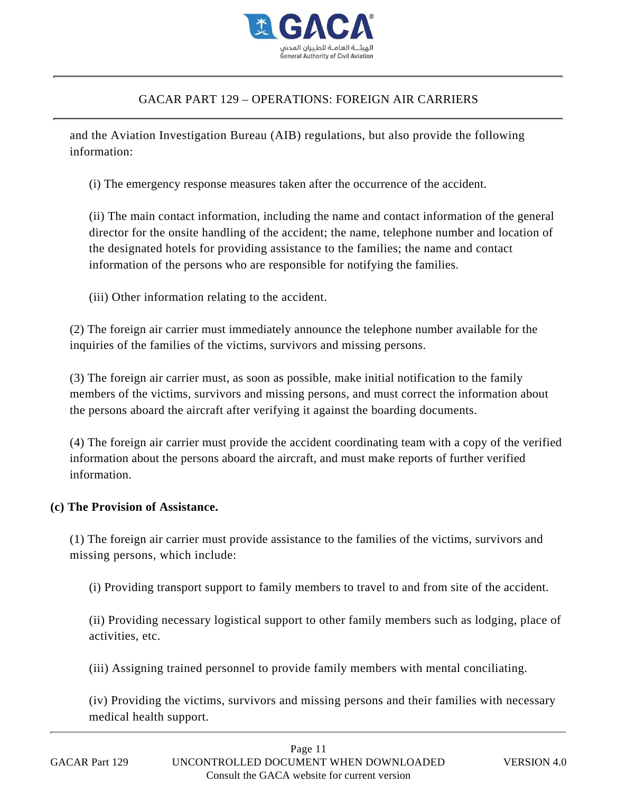

and the Aviation Investigation Bureau (AIB) regulations, but also provide the following information:

(i) The emergency response measures taken after the occurrence of the accident.

(ii) The main contact information, including the name and contact information of the general director for the onsite handling of the accident; the name, telephone number and location of the designated hotels for providing assistance to the families; the name and contact information of the persons who are responsible for notifying the families.

(iii) Other information relating to the accident.

(2) The foreign air carrier must immediately announce the telephone number available for the inquiries of the families of the victims, survivors and missing persons.

(3) The foreign air carrier must, as soon as possible, make initial notification to the family members of the victims, survivors and missing persons, and must correct the information about the persons aboard the aircraft after verifying it against the boarding documents.

(4) The foreign air carrier must provide the accident coordinating team with a copy of the verified information about the persons aboard the aircraft, and must make reports of further verified information.

#### **(c) The Provision of Assistance.**

(1) The foreign air carrier must provide assistance to the families of the victims, survivors and missing persons, which include:

(i) Providing transport support to family members to travel to and from site of the accident.

(ii) Providing necessary logistical support to other family members such as lodging, place of activities, etc.

(iii) Assigning trained personnel to provide family members with mental conciliating.

(iv) Providing the victims, survivors and missing persons and their families with necessary medical health support.